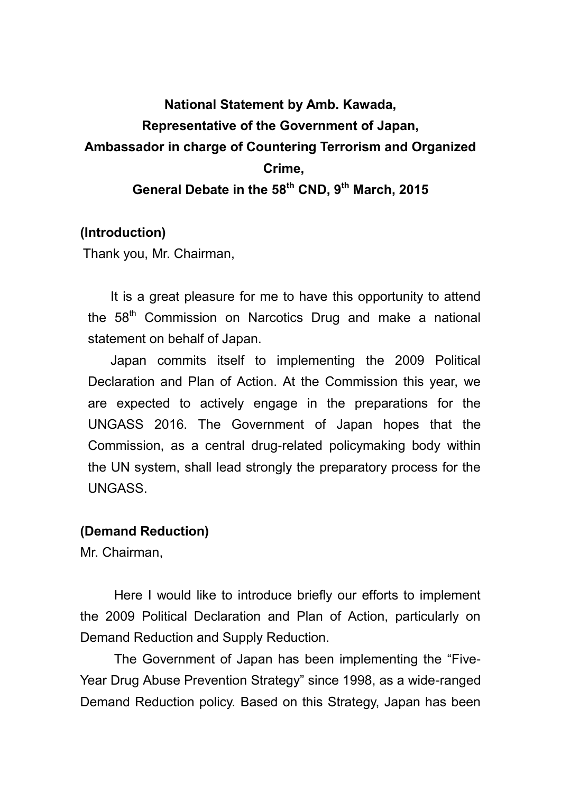# **National Statement by Amb. Kawada, Representative of the Government of Japan, Ambassador in charge of Countering Terrorism and Organized Crime, General Debate in the 58th CND, 9th March, 2015**

## **(Introduction)**

Thank you, Mr. Chairman,

It is a great pleasure for me to have this opportunity to attend the  $58<sup>th</sup>$  Commission on Narcotics Drug and make a national statement on behalf of Japan.

Japan commits itself to implementing the 2009 Political Declaration and Plan of Action. At the Commission this year, we are expected to actively engage in the preparations for the UNGASS 2016. The Government of Japan hopes that the Commission, as a central drug-related policymaking body within the UN system, shall lead strongly the preparatory process for the UNGASS.

#### **(Demand Reduction)**

Mr. Chairman,

Here I would like to introduce briefly our efforts to implement the 2009 Political Declaration and Plan of Action, particularly on Demand Reduction and Supply Reduction.

The Government of Japan has been implementing the "Five-Year Drug Abuse Prevention Strategy" since 1998, as a wide-ranged Demand Reduction policy. Based on this Strategy, Japan has been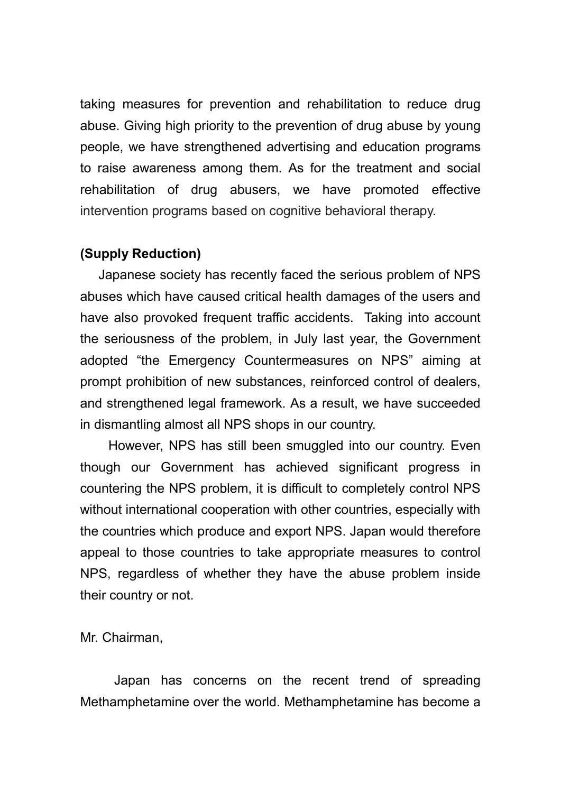taking measures for prevention and rehabilitation to reduce drug abuse. Giving high priority to the prevention of drug abuse by young people, we have strengthened advertising and education programs to raise awareness among them. As for the treatment and social rehabilitation of drug abusers, we have promoted effective intervention programs based on cognitive behavioral therapy.

## **(Supply Reduction)**

 Japanese society has recently faced the serious problem of NPS abuses which have caused critical health damages of the users and have also provoked frequent traffic accidents. Taking into account the seriousness of the problem, in July last year, the Government adopted "the Emergency Countermeasures on NPS" aiming at prompt prohibition of new substances, reinforced control of dealers, and strengthened legal framework. As a result, we have succeeded in dismantling almost all NPS shops in our country.

However, NPS has still been smuggled into our country. Even though our Government has achieved significant progress in countering the NPS problem, it is difficult to completely control NPS without international cooperation with other countries, especially with the countries which produce and export NPS. Japan would therefore appeal to those countries to take appropriate measures to control NPS, regardless of whether they have the abuse problem inside their country or not.

Mr. Chairman,

Japan has concerns on the recent trend of spreading Methamphetamine over the world. Methamphetamine has become a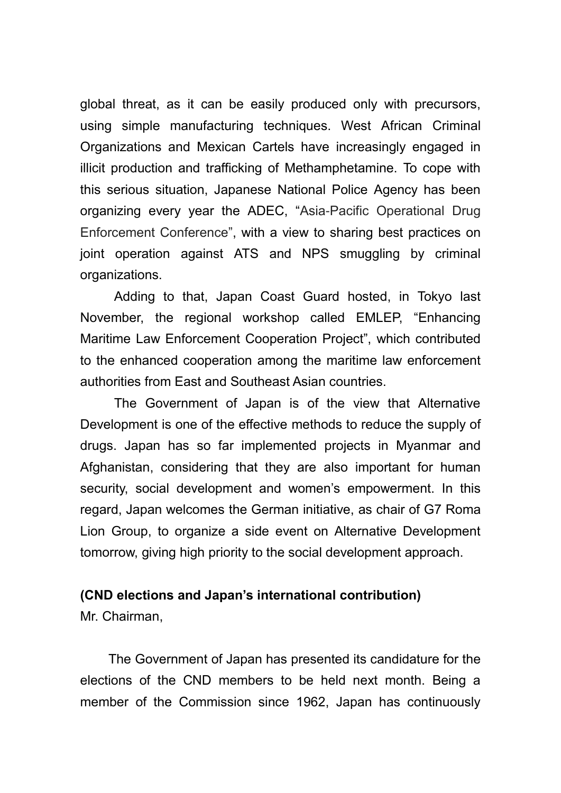global threat, as it can be easily produced only with precursors, using simple manufacturing techniques. West African Criminal Organizations and Mexican Cartels have increasingly engaged in illicit production and trafficking of Methamphetamine. To cope with this serious situation, Japanese National Police Agency has been organizing every year the ADEC, "Asia-Pacific Operational Drug Enforcement Conference", with a view to sharing best practices on joint operation against ATS and NPS smuggling by criminal organizations.

Adding to that, Japan Coast Guard hosted, in Tokyo last November, the regional workshop called EMLEP, "Enhancing Maritime Law Enforcement Cooperation Project", which contributed to the enhanced cooperation among the maritime law enforcement authorities from East and Southeast Asian countries.

The Government of Japan is of the view that Alternative Development is one of the effective methods to reduce the supply of drugs. Japan has so far implemented projects in Myanmar and Afghanistan, considering that they are also important for human security, social development and women's empowerment. In this regard, Japan welcomes the German initiative, as chair of G7 Roma Lion Group, to organize a side event on Alternative Development tomorrow, giving high priority to the social development approach.

#### **(CND elections and Japan's international contribution)**

Mr. Chairman,

The Government of Japan has presented its candidature for the elections of the CND members to be held next month. Being a member of the Commission since 1962, Japan has continuously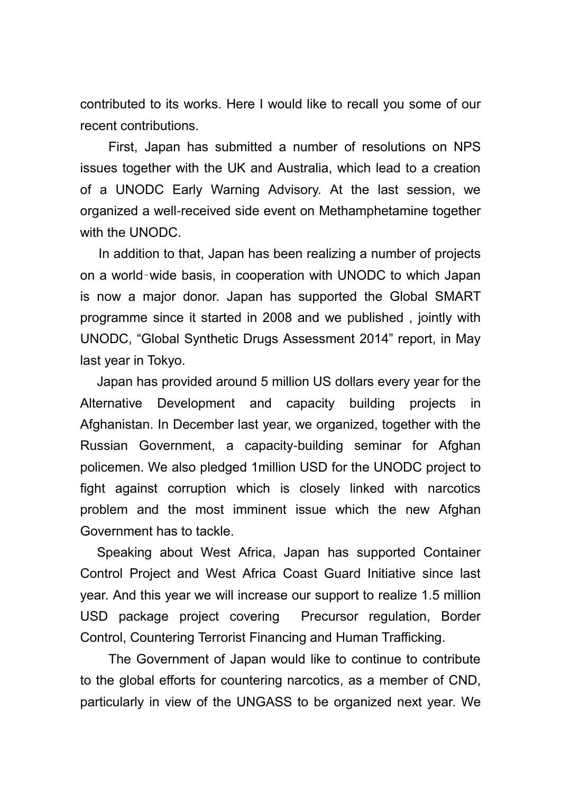contributed to its works. Here I would like to recall you some of our recent contributions.

First, Japan has submitted a number of resolutions on NPS issues together with the UK and Australia, which lead to a creation of a UNODC Early Warning Advisory. At the last session, we organized a well-received side event on Methamphetamine together with the UNODC.

 In addition to that, Japan has been realizing a number of projects on a world–wide basis, in cooperation with UNODC to which Japan is now a major donor. Japan has supported the Global SMART programme since it started in 2008 and we published , jointly with UNODC, "Global Synthetic Drugs Assessment 2014" report, in May last year in Tokyo.

 Japan has provided around 5 million US dollars every year for the Alternative Development and capacity building projects in Afghanistan. In December last year, we organized, together with the Russian Government, a capacity-building seminar for Afghan policemen. We also pledged 1million USD for the UNODC project to fight against corruption which is closely linked with narcotics problem and the most imminent issue which the new Afghan Government has to tackle.

 Speaking about West Africa, Japan has supported Container Control Project and West Africa Coast Guard Initiative since last year. And this year we will increase our support to realize 1.5 million USD package project covering Precursor regulation, Border Control, Countering Terrorist Financing and Human Trafficking.

The Government of Japan would like to continue to contribute to the global efforts for countering narcotics, as a member of CND, particularly in view of the UNGASS to be organized next year. We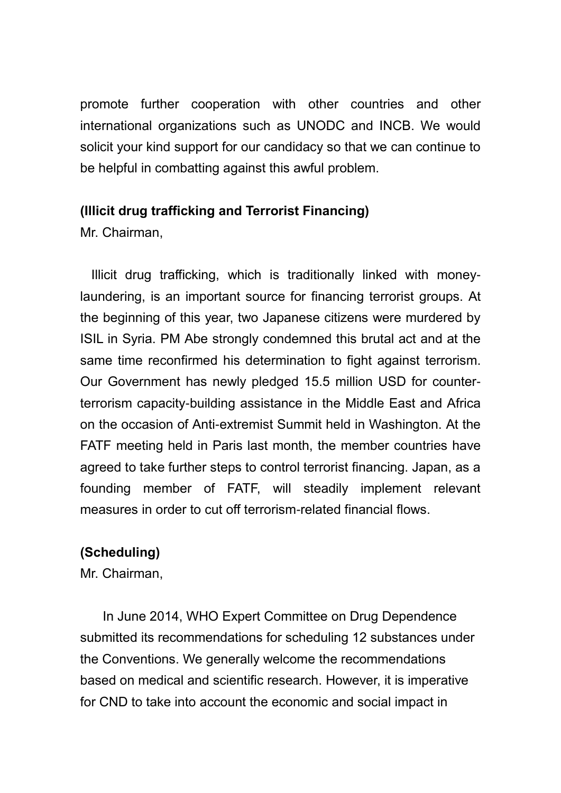promote further cooperation with other countries and other international organizations such as UNODC and INCB. We would solicit your kind support for our candidacy so that we can continue to be helpful in combatting against this awful problem.

# **(Illicit drug trafficking and Terrorist Financing)**

Mr. Chairman,

 Illicit drug trafficking, which is traditionally linked with moneylaundering, is an important source for financing terrorist groups. At the beginning of this year, two Japanese citizens were murdered by ISIL in Syria. PM Abe strongly condemned this brutal act and at the same time reconfirmed his determination to fight against terrorism. Our Government has newly pledged 15.5 million USD for counterterrorism capacity-building assistance in the Middle East and Africa on the occasion of Anti-extremist Summit held in Washington. At the FATF meeting held in Paris last month, the member countries have agreed to take further steps to control terrorist financing. Japan, as a founding member of FATF, will steadily implement relevant measures in order to cut off terrorism-related financial flows.

# **(Scheduling)**

Mr. Chairman,

In June 2014, WHO Expert Committee on Drug Dependence submitted its recommendations for scheduling 12 substances under the Conventions. We generally welcome the recommendations based on medical and scientific research. However, it is imperative for CND to take into account the economic and social impact in